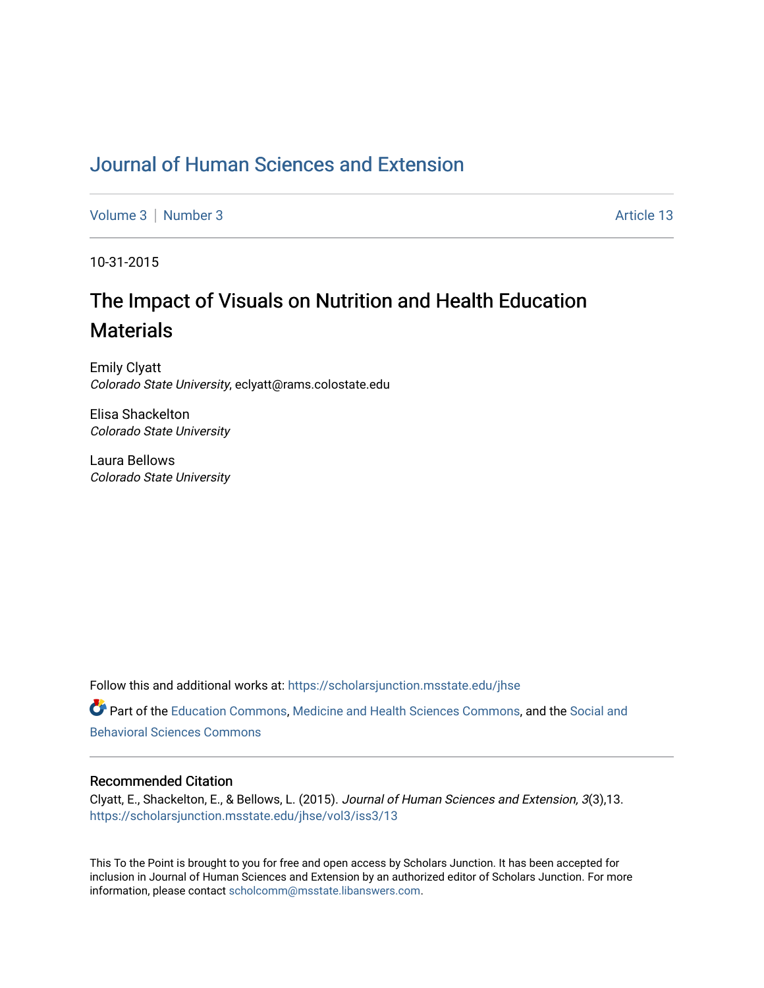### [Journal of Human Sciences and Extension](https://scholarsjunction.msstate.edu/jhse)

[Volume 3](https://scholarsjunction.msstate.edu/jhse/vol3) | [Number 3](https://scholarsjunction.msstate.edu/jhse/vol3/iss3) Article 13

10-31-2015

# The Impact of Visuals on Nutrition and Health Education **Materials**

Emily Clyatt Colorado State University, eclyatt@rams.colostate.edu

Elisa Shackelton Colorado State University

Laura Bellows Colorado State University

Follow this and additional works at: [https://scholarsjunction.msstate.edu/jhse](https://scholarsjunction.msstate.edu/jhse?utm_source=scholarsjunction.msstate.edu%2Fjhse%2Fvol3%2Fiss3%2F13&utm_medium=PDF&utm_campaign=PDFCoverPages)

Part of the [Education Commons](http://network.bepress.com/hgg/discipline/784?utm_source=scholarsjunction.msstate.edu%2Fjhse%2Fvol3%2Fiss3%2F13&utm_medium=PDF&utm_campaign=PDFCoverPages), [Medicine and Health Sciences Commons,](http://network.bepress.com/hgg/discipline/648?utm_source=scholarsjunction.msstate.edu%2Fjhse%2Fvol3%2Fiss3%2F13&utm_medium=PDF&utm_campaign=PDFCoverPages) and the [Social and](http://network.bepress.com/hgg/discipline/316?utm_source=scholarsjunction.msstate.edu%2Fjhse%2Fvol3%2Fiss3%2F13&utm_medium=PDF&utm_campaign=PDFCoverPages) [Behavioral Sciences Commons](http://network.bepress.com/hgg/discipline/316?utm_source=scholarsjunction.msstate.edu%2Fjhse%2Fvol3%2Fiss3%2F13&utm_medium=PDF&utm_campaign=PDFCoverPages) 

#### Recommended Citation

Clyatt, E., Shackelton, E., & Bellows, L. (2015). Journal of Human Sciences and Extension, 3(3),13. [https://scholarsjunction.msstate.edu/jhse/vol3/iss3/13](https://scholarsjunction.msstate.edu/jhse/vol3/iss3/13?utm_source=scholarsjunction.msstate.edu%2Fjhse%2Fvol3%2Fiss3%2F13&utm_medium=PDF&utm_campaign=PDFCoverPages) 

This To the Point is brought to you for free and open access by Scholars Junction. It has been accepted for inclusion in Journal of Human Sciences and Extension by an authorized editor of Scholars Junction. For more information, please contact [scholcomm@msstate.libanswers.com](mailto:scholcomm@msstate.libanswers.com).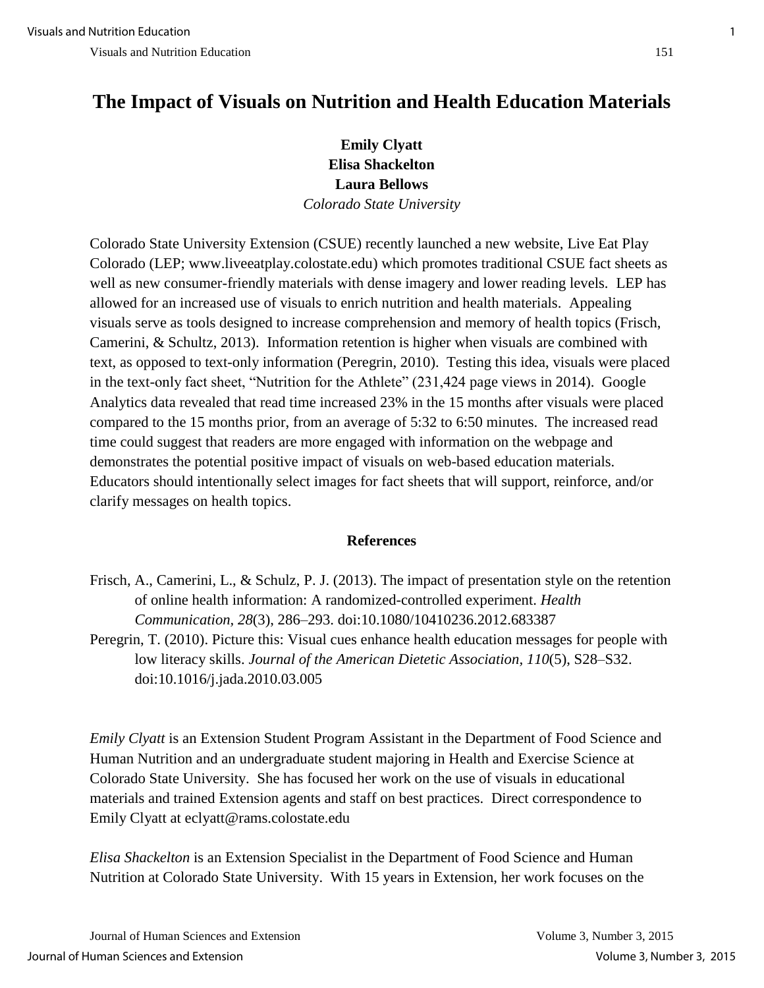## **The Impact of Visuals on Nutrition and Health Education Materials**

### **Emily Clyatt Elisa Shackelton Laura Bellows**  *Colorado State University*

Colorado State University Extension (CSUE) recently launched a new website, Live Eat Play Colorado (LEP; [www.liveeatplay.colostate.edu\)](http://www.liveeatplay.colostate.edu/) which promotes traditional CSUE fact sheets as well as new consumer-friendly materials with dense imagery and lower reading levels. LEP has allowed for an increased use of visuals to enrich nutrition and health materials. Appealing visuals serve as tools designed to increase comprehension and memory of health topics (Frisch, Camerini, & Schultz, 2013). Information retention is higher when visuals are combined with text, as opposed to text-only information (Peregrin, 2010). Testing this idea, visuals were placed in the text-only fact sheet, "Nutrition for the Athlete" (231,424 page views in 2014). Google Analytics data revealed that read time increased 23% in the 15 months after visuals were placed compared to the 15 months prior, from an average of 5:32 to 6:50 minutes. The increased read time could suggest that readers are more engaged with information on the webpage and demonstrates the potential positive impact of visuals on web-based education materials. Educators should intentionally select images for fact sheets that will support, reinforce, and/or clarify messages on health topics.

#### **References**

- Frisch, A., Camerini, L., & Schulz, P. J. (2013). The impact of presentation style on the retention of online health information: A randomized-controlled experiment. *Health Communication, 28*(3), 286–293. doi:10.1080/10410236.2012.683387
- Peregrin, T. (2010). Picture this: Visual cues enhance health education messages for people with low literacy skills. *Journal of the American Dietetic Association, 110*(5), S28–S32. doi:10.1016/j.jada.2010.03.005

*Emily Clyatt* is an Extension Student Program Assistant in the Department of Food Science and Human Nutrition and an undergraduate student majoring in Health and Exercise Science at Colorado State University. She has focused her work on the use of visuals in educational materials and trained Extension agents and staff on best practices. Direct correspondence to Emily Clyatt at eclyatt@rams.colostate.edu

*Elisa Shackelton* is an Extension Specialist in the Department of Food Science and Human Nutrition at Colorado State University. With 15 years in Extension, her work focuses on the